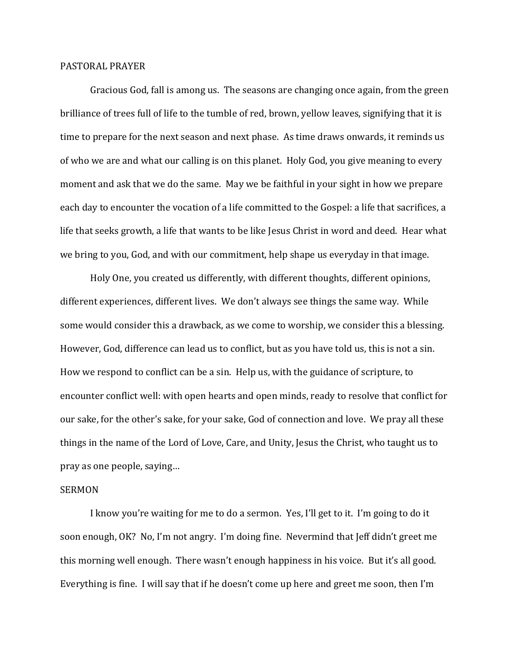## PASTORAL PRAYER

 Gracious God, fall is among us. The seasons are changing once again, from the green brilliance of trees full of life to the tumble of red, brown, yellow leaves, signifying that it is time to prepare for the next season and next phase. As time draws onwards, it reminds us of who we are and what our calling is on this planet. Holy God, you give meaning to every moment and ask that we do the same. May we be faithful in your sight in how we prepare each day to encounter the vocation of a life committed to the Gospel: a life that sacrifices, a life that seeks growth, a life that wants to be like Jesus Christ in word and deed. Hear what we bring to you, God, and with our commitment, help shape us everyday in that image.

 Holy One, you created us differently, with different thoughts, different opinions, different experiences, different lives. We don't always see things the same way. While some would consider this a drawback, as we come to worship, we consider this a blessing. However, God, difference can lead us to conflict, but as you have told us, this is not a sin. How we respond to conflict can be a sin. Help us, with the guidance of scripture, to encounter conflict well: with open hearts and open minds, ready to resolve that conflict for our sake, for the other's sake, for your sake, God of connection and love. We pray all these things in the name of the Lord of Love, Care, and Unity, Jesus the Christ, who taught us to pray as one people, saying…

## SERMON

 I know you're waiting for me to do a sermon. Yes, I'll get to it. I'm going to do it soon enough, OK? No, I'm not angry. I'm doing fine. Nevermind that Jeff didn't greet me this morning well enough. There wasn't enough happiness in his voice. But it's all good. Everything is fine. I will say that if he doesn't come up here and greet me soon, then I'm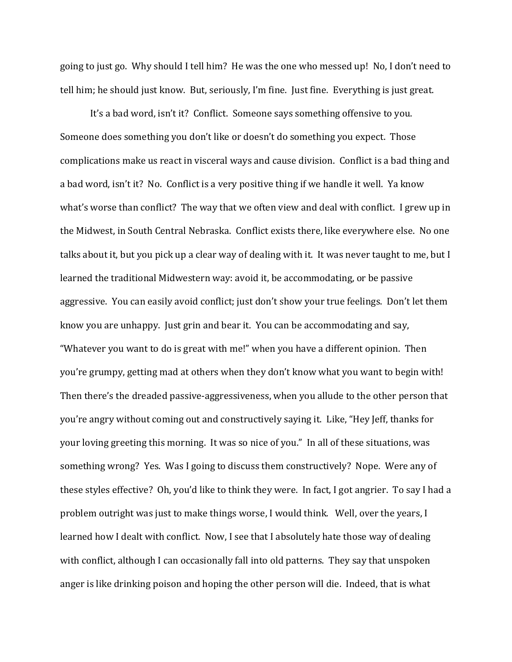going to just go. Why should I tell him? He was the one who messed up! No, I don't need to tell him; he should just know. But, seriously, I'm fine. Just fine. Everything is just great.

 It's a bad word, isn't it? Conflict. Someone says something offensive to you. Someone does something you don't like or doesn't do something you expect. Those complications make us react in visceral ways and cause division. Conflict is a bad thing and a bad word, isn't it? No. Conflict is a very positive thing if we handle it well. Ya know what's worse than conflict? The way that we often view and deal with conflict. I grew up in the Midwest, in South Central Nebraska. Conflict exists there, like everywhere else. No one talks about it, but you pick up a clear way of dealing with it. It was never taught to me, but I learned the traditional Midwestern way: avoid it, be accommodating, or be passive aggressive. You can easily avoid conflict; just don't show your true feelings. Don't let them know you are unhappy. Just grin and bear it. You can be accommodating and say, "Whatever you want to do is great with me!" when you have a different opinion. Then you're grumpy, getting mad at others when they don't know what you want to begin with! Then there's the dreaded passive-aggressiveness, when you allude to the other person that you're angry without coming out and constructively saying it. Like, "Hey Jeff, thanks for your loving greeting this morning. It was so nice of you." In all of these situations, was something wrong? Yes. Was I going to discuss them constructively? Nope. Were any of these styles effective? Oh, you'd like to think they were. In fact, I got angrier. To say I had a problem outright was just to make things worse, I would think. Well, over the years, I learned how I dealt with conflict. Now, I see that I absolutely hate those way of dealing with conflict, although I can occasionally fall into old patterns. They say that unspoken anger is like drinking poison and hoping the other person will die. Indeed, that is what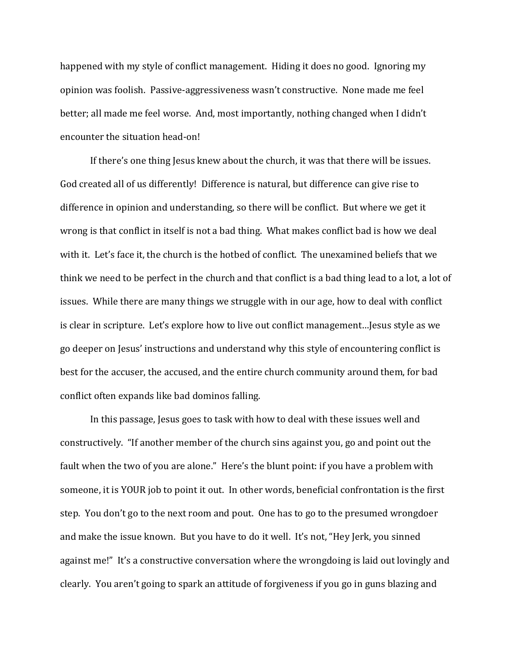happened with my style of conflict management. Hiding it does no good. Ignoring my opinion was foolish. Passive-aggressiveness wasn't constructive. None made me feel better; all made me feel worse. And, most importantly, nothing changed when I didn't encounter the situation head-on!

 If there's one thing Jesus knew about the church, it was that there will be issues. God created all of us differently! Difference is natural, but difference can give rise to difference in opinion and understanding, so there will be conflict. But where we get it wrong is that conflict in itself is not a bad thing. What makes conflict bad is how we deal with it. Let's face it, the church is the hotbed of conflict. The unexamined beliefs that we think we need to be perfect in the church and that conflict is a bad thing lead to a lot, a lot of issues. While there are many things we struggle with in our age, how to deal with conflict is clear in scripture. Let's explore how to live out conflict management…Jesus style as we go deeper on Jesus' instructions and understand why this style of encountering conflict is best for the accuser, the accused, and the entire church community around them, for bad conflict often expands like bad dominos falling.

In this passage, Jesus goes to task with how to deal with these issues well and constructively. "If another member of the church sins against you, go and point out the fault when the two of you are alone." Here's the blunt point: if you have a problem with someone, it is YOUR job to point it out. In other words, beneficial confrontation is the first step. You don't go to the next room and pout. One has to go to the presumed wrongdoer and make the issue known. But you have to do it well. It's not, "Hey Jerk, you sinned against me!" It's a constructive conversation where the wrongdoing is laid out lovingly and clearly. You aren't going to spark an attitude of forgiveness if you go in guns blazing and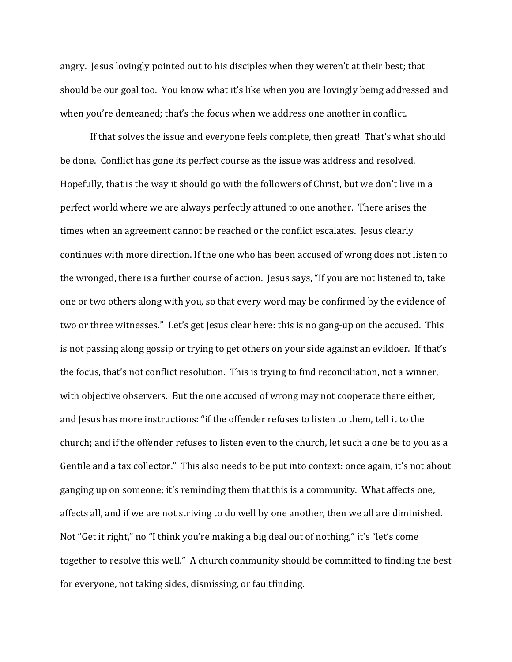angry. Jesus lovingly pointed out to his disciples when they weren't at their best; that should be our goal too. You know what it's like when you are lovingly being addressed and when you're demeaned; that's the focus when we address one another in conflict.

 If that solves the issue and everyone feels complete, then great! That's what should be done. Conflict has gone its perfect course as the issue was address and resolved. Hopefully, that is the way it should go with the followers of Christ, but we don't live in a perfect world where we are always perfectly attuned to one another. There arises the times when an agreement cannot be reached or the conflict escalates. Jesus clearly continues with more direction. If the one who has been accused of wrong does not listen to the wronged, there is a further course of action. Jesus says, "If you are not listened to, take one or two others along with you, so that every word may be confirmed by the evidence of two or three witnesses." Let's get Jesus clear here: this is no gang-up on the accused. This is not passing along gossip or trying to get others on your side against an evildoer. If that's the focus, that's not conflict resolution. This is trying to find reconciliation, not a winner, with objective observers. But the one accused of wrong may not cooperate there either, and Jesus has more instructions: "if the offender refuses to listen to them, tell it to the church; and if the offender refuses to listen even to the church, let such a one be to you as a Gentile and a tax collector." This also needs to be put into context: once again, it's not about ganging up on someone; it's reminding them that this is a community. What affects one, affects all, and if we are not striving to do well by one another, then we all are diminished. Not "Get it right," no "I think you're making a big deal out of nothing," it's "let's come together to resolve this well." A church community should be committed to finding the best for everyone, not taking sides, dismissing, or faultfinding.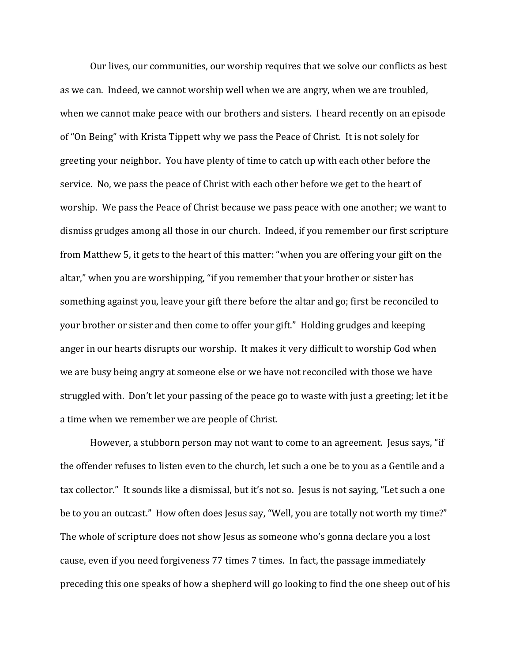Our lives, our communities, our worship requires that we solve our conflicts as best as we can. Indeed, we cannot worship well when we are angry, when we are troubled, when we cannot make peace with our brothers and sisters. I heard recently on an episode of "On Being" with Krista Tippett why we pass the Peace of Christ. It is not solely for greeting your neighbor. You have plenty of time to catch up with each other before the service. No, we pass the peace of Christ with each other before we get to the heart of worship. We pass the Peace of Christ because we pass peace with one another; we want to dismiss grudges among all those in our church. Indeed, if you remember our first scripture from Matthew 5, it gets to the heart of this matter: "when you are offering your gift on the altar," when you are worshipping, "if you remember that your brother or sister has something against you, leave your gift there before the altar and go; first be reconciled to your brother or sister and then come to offer your gift." Holding grudges and keeping anger in our hearts disrupts our worship. It makes it very difficult to worship God when we are busy being angry at someone else or we have not reconciled with those we have struggled with. Don't let your passing of the peace go to waste with just a greeting; let it be a time when we remember we are people of Christ.

However, a stubborn person may not want to come to an agreement. Jesus says, "if the offender refuses to listen even to the church, let such a one be to you as a Gentile and a tax collector." It sounds like a dismissal, but it's not so. Jesus is not saying, "Let such a one be to you an outcast." How often does Jesus say, "Well, you are totally not worth my time?" The whole of scripture does not show Jesus as someone who's gonna declare you a lost cause, even if you need forgiveness 77 times 7 times. In fact, the passage immediately preceding this one speaks of how a shepherd will go looking to find the one sheep out of his